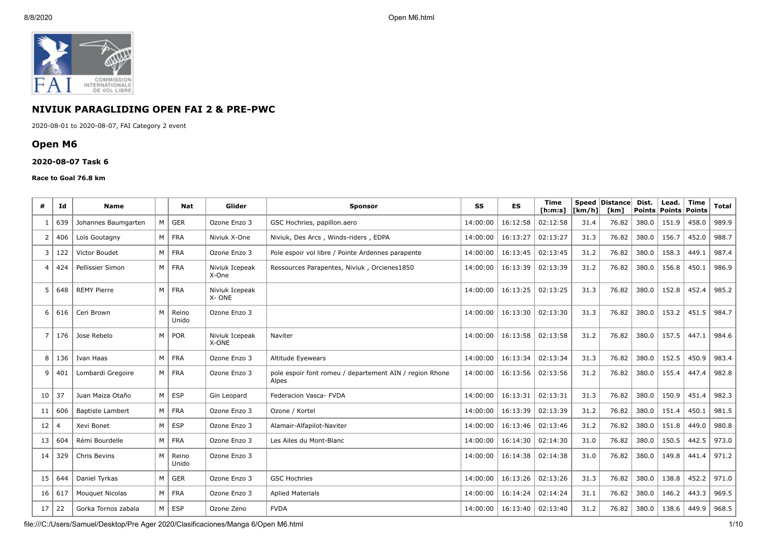

# **NIVIUK PARAGLIDING OPEN FAI 2 & PRE-PWC**

2020-08-01 to 2020-08-07, FAI Category 2 event

# **Open M6**

### **2020-08-07 Task 6**

#### **Race to Goal 76.8 km**

| #              | Id             | <b>Name</b>             |                | <b>Nat</b>     | Glider                  | <b>Sponsor</b>                                                   | SS       | <b>ES</b>           | <b>Time</b><br>[ <b>h</b> : <b>m</b> : <b>s</b> ] | <b>Speed</b><br>[km/h] | <b>Distance</b><br>[km] | Dist. | Lead.<br>Points Points | Time<br>Points | <b>Total</b> |
|----------------|----------------|-------------------------|----------------|----------------|-------------------------|------------------------------------------------------------------|----------|---------------------|---------------------------------------------------|------------------------|-------------------------|-------|------------------------|----------------|--------------|
|                | 639            | Johannes Baumgarten     | M              | <b>GER</b>     | Ozone Enzo 3            | GSC Hochries, papillon.aero                                      | 14:00:00 | 16:12:58            | 02:12:58                                          | 31.4                   | 76.82                   | 380.0 | 151.9                  | 458.0          | 989.9        |
| $\overline{2}$ | 406            | Loïs Goutagny           |                | M FRA          | Niviuk X-One            | Niviuk, Des Arcs, Winds-riders, EDPA                             | 14:00:00 | 16:13:27            | 02:13:27                                          | 31.3                   | 76.82                   | 380.0 | 156.7                  | 452.0          | 988.7        |
| 3              | 122            | Victor Boudet           |                | $M$   FRA      | Ozone Enzo 3            | Pole espoir vol libre / Pointe Ardennes parapente                | 14:00:00 | 16:13:45            | 02:13:45                                          | 31.2                   | 76.82                   | 380.0 | 158.3                  | 449.1          | 987.4        |
| 4              | 424            | Pellissier Simon        |                | M FRA          | Niviuk Icepeak<br>X-One | Ressources Parapentes, Niviuk, Orcienes1850                      | 14:00:00 | 16:13:39            | 02:13:39                                          | 31.2                   | 76.82                   | 380.0 | 156.8                  | 450.1          | 986.9        |
| 5              | 648            | <b>REMY Pierre</b>      | M              | <b>FRA</b>     | Niviuk Icepeak<br>X-ONE |                                                                  | 14:00:00 | 16:13:25            | 02:13:25                                          | 31.3                   | 76.82                   | 380.0 | 152.8                  | 452.4          | 985.2        |
| 6              | 616            | Ceri Brown              | M              | Reino<br>Unido | Ozone Enzo 3            |                                                                  | 14:00:00 | 16:13:30            | 02:13:30                                          | 31.3                   | 76.82                   | 380.0 | 153.2                  | 451.5          | 984.7        |
| 7              | 176            | Jose Rebelo             | M              | <b>POR</b>     | Niviuk Icepeak<br>X-ONE | Naviter                                                          | 14:00:00 | 16:13:58            | 02:13:58                                          | 31.2                   | 76.82                   | 380.0 | 157.5                  | 447.1          | 984.6        |
| 8              | 136            | Ivan Haas               | M <sub>1</sub> | FRA            | Ozone Enzo 3            | Altitude Eyewears                                                | 14:00:00 | 16:13:34            | 02:13:34                                          | 31.3                   | 76.82                   | 380.0 | 152.5                  | 450.9          | 983.4        |
| 9              | 401            | Lombardi Gregoire       |                | $M$   FRA      | Ozone Enzo 3            | pole espoir font romeu / departement AIN / region Rhone<br>Alpes | 14:00:00 | 16:13:56            | 02:13:56                                          | 31.2                   | 76.82                   | 380.0 | 155.4                  | 447.4          | 982.8        |
| 10             | 37             | Juan Maiza Otaño        | M              | <b>ESP</b>     | Gin Leopard             | Federacion Vasca- FVDA                                           | 14:00:00 | 16:13:31            | 02:13:31                                          | 31.3                   | 76.82                   | 380.0 | 150.9                  | 451.4          | 982.3        |
| 11             | 606            | <b>Baptiste Lambert</b> |                | M FRA          | Ozone Enzo 3            | Ozone / Kortel                                                   | 14:00:00 | 16:13:39            | 02:13:39                                          | 31.2                   | 76.82                   | 380.0 | 151.4                  | 450.1          | 981.5        |
| 12             | $\overline{4}$ | Xevi Bonet              |                | $M \vert$ ESP  | Ozone Enzo 3            | Alamair-Alfapilot-Naviter                                        | 14:00:00 | 16:13:46            | 02:13:46                                          | 31.2                   | 76.82                   | 380.0 | 151.8                  | 449.0          | 980.8        |
| 13             | 604            | Rémi Bourdelle          |                | M FRA          | Ozone Enzo 3            | Les Ailes du Mont-Blanc                                          | 14:00:00 | 16:14:30            | 02:14:30                                          | 31.0                   | 76.82                   | 380.0 | 150.5                  | 442.5          | 973.0        |
| 14             | 329            | Chris Bevins            | M              | Reino<br>Unido | Ozone Enzo 3            |                                                                  | 14:00:00 | 16:14:38            | 02:14:38                                          | 31.0                   | 76.82                   | 380.0 | 149.8                  | 441.4          | 971.2        |
| 15             | 644            | Daniel Tyrkas           | M              | <b>GER</b>     | Ozone Enzo 3            | <b>GSC Hochries</b>                                              | 14:00:00 | 16:13:26            | 02:13:26                                          | 31.3                   | 76.82                   | 380.0 | 138.8                  | 452.2          | 971.0        |
| 16             | 617            | Mouquet Nicolas         |                | $M$   FRA      | Ozone Enzo 3            | <b>Aplied Materials</b>                                          | 14:00:00 | 16:14:24            | 02:14:24                                          | 31.1                   | 76.82                   | 380.0 | 146.2                  | 443.3          | 969.5        |
| 17             | 22             | Gorka Tornos zabala     |                | $M \vert$ ESP  | Ozone Zeno              | <b>FVDA</b>                                                      | 14:00:00 | 16:13:40   02:13:40 |                                                   | 31.2                   | 76.82                   | 380.0 | 138.6                  | 449.9          | 968.5        |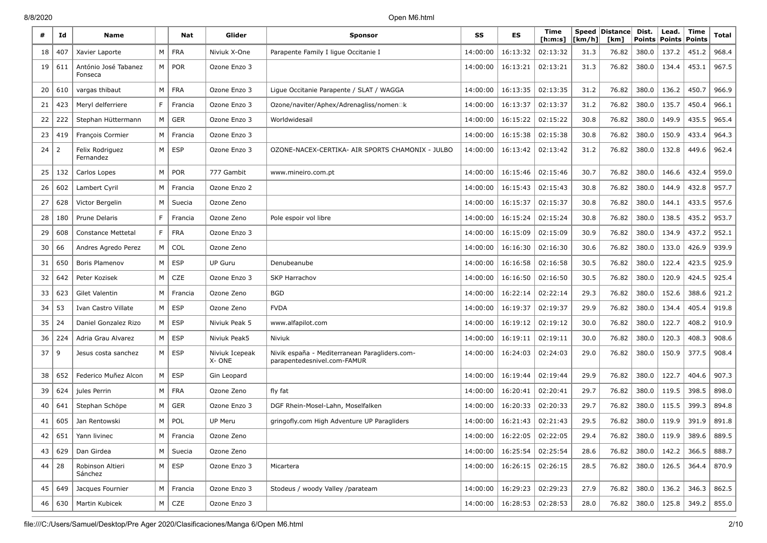| #  | Id  | Name                            |                | Nat           | Glider                  | <b>Sponsor</b>                                                               | SS       | <b>ES</b>           | Time<br>[h:m:s] | [km/h] | Speed   Distance  <br>[km] | Dist.<br><b>Points</b> | Lead.<br><b>Points</b> | Time<br><b>Points</b> | Total |
|----|-----|---------------------------------|----------------|---------------|-------------------------|------------------------------------------------------------------------------|----------|---------------------|-----------------|--------|----------------------------|------------------------|------------------------|-----------------------|-------|
| 18 | 407 | Xavier Laporte                  | M              | <b>FRA</b>    | Niviuk X-One            | Parapente Family I ligue Occitanie I                                         | 14:00:00 | 16:13:32            | 02:13:32        | 31.3   | 76.82                      | 380.0                  | 137.2                  | 451.2                 | 968.4 |
| 19 | 611 | António José Tabanez<br>Fonseca | M              | <b>POR</b>    | Ozone Enzo 3            |                                                                              | 14:00:00 | 16:13:21            | 02:13:21        | 31.3   | 76.82                      | 380.0                  | 134.4                  | 453.1                 | 967.5 |
| 20 | 610 | vargas thibaut                  | M              | <b>FRA</b>    | Ozone Enzo 3            | Lique Occitanie Parapente / SLAT / WAGGA                                     | 14:00:00 | 16:13:35            | 02:13:35        | 31.2   | 76.82                      | 380.0                  | 136.2                  | 450.7                 | 966.9 |
| 21 | 423 | Meryl delferriere               | E              | Francia       | Ozone Enzo 3            | Ozone/naviter/Aphex/Adrenagliss/nomen□k                                      | 14:00:00 | 16:13:37            | 02:13:37        | 31.2   | 76.82                      | 380.0                  | 135.7                  | 450.4                 | 966.1 |
| 22 | 222 | Stephan Hüttermann              | M              | <b>GER</b>    | Ozone Enzo 3            | Worldwidesail                                                                | 14:00:00 | 16:15:22            | 02:15:22        | 30.8   | 76.82                      | 380.0                  | 149.9                  | 435.5                 | 965.4 |
| 23 | 419 | <b>François Cormier</b>         | M              | Francia       | Ozone Enzo 3            |                                                                              | 14:00:00 | 16:15:38            | 02:15:38        | 30.8   | 76.82                      | 380.0                  | 150.9                  | 433.4                 | 964.3 |
| 24 |     | Felix Rodriguez<br>Fernandez    | M              | <b>ESP</b>    | Ozone Enzo 3            | OZONE-NACEX-CERTIKA- AIR SPORTS CHAMONIX - JULBO                             | 14:00:00 | 16:13:42            | 02:13:42        | 31.2   | 76.82                      | 380.0                  | 132.8                  | 449.6                 | 962.4 |
| 25 | 132 | Carlos Lopes                    | M              | <b>POR</b>    | 777 Gambit              | www.mineiro.com.pt                                                           | 14:00:00 | 16:15:46            | 02:15:46        | 30.7   | 76.82                      | 380.0                  | 146.6                  | 432.4                 | 959.0 |
| 26 | 602 | Lambert Cyril                   | M              | Francia       | Ozone Enzo 2            |                                                                              | 14:00:00 | 16:15:43            | 02:15:43        | 30.8   | 76.82                      | 380.0                  | 144.9                  | 432.8                 | 957.7 |
| 27 | 628 | Victor Bergelin                 | M              | Suecia        | Ozone Zeno              |                                                                              | 14:00:00 | 16:15:37            | 02:15:37        | 30.8   | 76.82                      | 380.0                  | 144.1                  | 433.5                 | 957.6 |
| 28 | 180 | Prune Delaris                   | F              | Francia       | Ozone Zeno              | Pole espoir vol libre                                                        | 14:00:00 | 16:15:24            | 02:15:24        | 30.8   | 76.82                      | 380.0                  | 138.5                  | 435.2                 | 953.7 |
| 29 | 608 | Constance Mettetal              | F              | <b>FRA</b>    | Ozone Enzo 3            |                                                                              | 14:00:00 | 16:15:09            | 02:15:09        | 30.9   | 76.82                      | 380.0                  | 134.9                  | 437.2                 | 952.1 |
| 30 | 66  | Andres Agredo Perez             | M              | COL           | Ozone Zeno              |                                                                              | 14:00:00 | 16:16:30            | 02:16:30        | 30.6   | 76.82                      | 380.0                  | 133.0                  | 426.9                 | 939.9 |
| 31 | 650 | Boris Plamenov                  | M              | <b>ESP</b>    | <b>UP Guru</b>          | Denubeanube                                                                  | 14:00:00 | 16:16:58            | 02:16:58        | 30.5   | 76.82                      | 380.0                  | 122.4                  | 423.5                 | 925.9 |
| 32 | 642 | Peter Kozisek                   | M              | CZE           | Ozone Enzo 3            | <b>SKP Harrachov</b>                                                         | 14:00:00 | 16:16:50            | 02:16:50        | 30.5   | 76.82                      | 380.0                  | 120.9                  | 424.5                 | 925.4 |
| 33 | 623 | Gilet Valentin                  | M              | Francia       | Ozone Zeno              | BGD                                                                          | 14:00:00 | 16:22:14            | 02:22:14        | 29.3   | 76.82                      | 380.0                  | 152.6                  | 388.6                 | 921.2 |
| 34 | 53  | Ivan Castro Villate             | M              | <b>ESP</b>    | Ozone Zeno              | <b>FVDA</b>                                                                  | 14:00:00 | 16:19:37            | 02:19:37        | 29.9   | 76.82                      | 380.0                  | 134.4                  | 405.4                 | 919.8 |
| 35 | 24  | Daniel Gonzalez Rizo            | M              | <b>ESP</b>    | Niviuk Peak 5           | www.alfapilot.com                                                            | 14:00:00 | 16:19:12            | 02:19:12        | 30.0   | 76.82                      | 380.0                  | 122.7                  | 408.2                 | 910.9 |
| 36 | 224 | Adria Grau Alvarez              | M              | <b>ESP</b>    | Niviuk Peak5            | Niviuk                                                                       | 14:00:00 | 16:19:11            | 02:19:11        | 30.0   | 76.82                      | 380.0                  | 120.3                  | 408.3                 | 908.6 |
| 37 | 9   | Jesus costa sanchez             | M <sub>1</sub> | <b>ESP</b>    | Niviuk Icepeak<br>X-ONE | Nivik españa - Mediterranean Paragliders.com-<br>parapentedesnivel.com-FAMUR | 14:00:00 | 16:24:03            | 02:24:03        | 29.0   | 76.82                      | 380.0                  | 150.9                  | 377.5                 | 908.4 |
| 38 | 652 | Federico Muñez Alcon            | M              | <b>ESP</b>    | Gin Leopard             |                                                                              | 14:00:00 | 16:19:44            | 02:19:44        | 29.9   | 76.82                      | 380.0                  | 122.7                  | 404.6                 | 907.3 |
| 39 | 624 | jules Perrin                    | M              | <b>FRA</b>    | Ozone Zeno              | fly fat                                                                      | 14:00:00 | 16:20:41            | 02:20:41        | 29.7   | 76.82                      | 380.0                  | 119.5                  | 398.5                 | 898.0 |
| 40 | 641 | Stephan Schöpe                  | M              | <b>GER</b>    | Ozone Enzo 3            | DGF Rhein-Mosel-Lahn, Moselfalken                                            | 14:00:00 | 16:20:33            | 02:20:33        | 29.7   | 76.82                      | 380.0                  | 115.5                  | 399.3                 | 894.8 |
| 41 | 605 | Jan Rentowski                   | M              | POL           | UP Meru                 | gringofly.com High Adventure UP Paragliders                                  | 14:00:00 | 16:21:43            | 02:21:43        | 29.5   | 76.82                      | 380.0                  | 119.9                  | 391.9                 | 891.8 |
| 42 | 651 | Yann livinec                    | М              | Francia       | Ozone Zeno              |                                                                              | 14:00:00 | 16:22:05 02:22:05   |                 | 29.4   | 76.82                      | 380.0                  | 119.9                  | 389.6                 | 889.5 |
| 43 | 629 | Dan Girdea                      |                | M   Suecia    | Ozone Zeno              |                                                                              | 14:00:00 | 16:25:54            | 02:25:54        | 28.6   | 76.82                      | 380.0                  | 142.2                  | 366.5                 | 888.7 |
| 44 | 28  | Robinson Altieri<br>Sánchez     |                | $M \vert ESP$ | Ozone Enzo 3            | Micartera                                                                    | 14:00:00 | $16:26:15$ 02:26:15 |                 | 28.5   | 76.82                      | 380.0                  | 126.5                  | 364.4                 | 870.9 |
| 45 | 649 | Jacques Fournier                |                | M   Francia   | Ozone Enzo 3            | Stodeus / woody Valley /parateam                                             | 14:00:00 | $16:29:23$ 02:29:23 |                 | 27.9   | 76.82                      | 380.0                  | 136.2                  | 346.3                 | 862.5 |
| 46 | 630 | Martin Kubicek                  |                | $M \vert CZE$ | Ozone Enzo 3            |                                                                              | 14:00:00 | 16:28:53   02:28:53 |                 | 28.0   | 76.82                      | 380.0                  | 125.8                  | 349.2                 | 855.0 |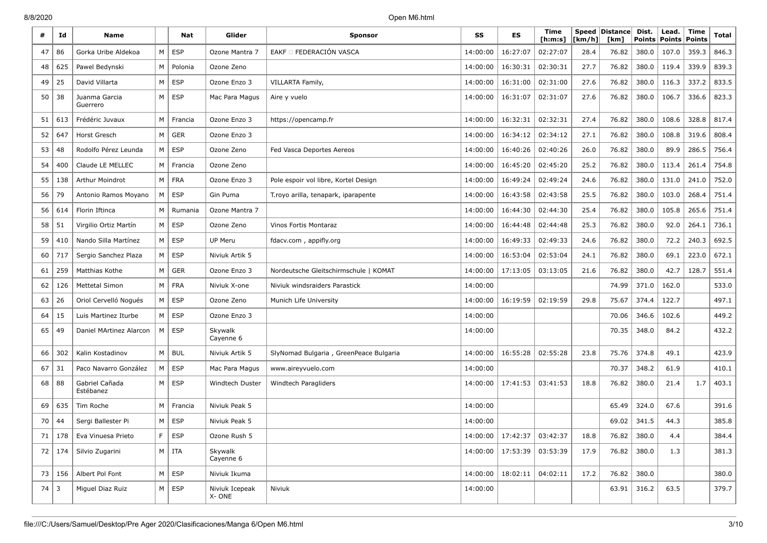| #           | Id     | <b>Name</b>                   |                | Nat           | Glider                  | <b>Sponsor</b>                         | SS       | ES                             | Time<br>[h:m:s] | [km/h] | Speed Distance<br>[km] | Dist.<br><b>Points</b> | Lead.<br><b>Points</b> | <b>Time</b><br><b>Points</b> | Total |
|-------------|--------|-------------------------------|----------------|---------------|-------------------------|----------------------------------------|----------|--------------------------------|-----------------|--------|------------------------|------------------------|------------------------|------------------------------|-------|
| 47          | 86     | Gorka Uribe Aldekoa           | M              | <b>ESP</b>    | Ozone Mantra 7          | EAKF O FEDERACIÓN VASCA                | 14:00:00 | 16:27:07                       | 02:27:07        | 28.4   | 76.82                  | 380.0                  | 107.0                  | 359.3                        | 846.3 |
| 48          | 625    | Pawel Bedynski                | M <sub>1</sub> | Polonia       | Ozone Zeno              |                                        | 14:00:00 | 16:30:31                       | 02:30:31        | 27.7   | 76.82                  | 380.0                  | 119.4                  | 339.9                        | 839.3 |
| 49          | 25     | David Villarta                | M              | ESP           | Ozone Enzo 3            | VILLARTA Family,                       | 14:00:00 | 16:31:00                       | 02:31:00        | 27.6   | 76.82                  | 380.0                  | 116.3                  | 337.2                        | 833.5 |
| 50          | 38     | Juanma Garcia<br>Guerrero     |                | $M \vert$ ESP | Mac Para Magus          | Aire y vuelo                           | 14:00:00 | 16:31:07                       | 02:31:07        | 27.6   | 76.82                  | 380.0                  | 106.7                  | 336.6                        | 823.3 |
| 51          | 613    | Frédéric Juvaux               | M              | Francia       | Ozone Enzo 3            | https://opencamp.fr                    | 14:00:00 | 16:32:31                       | 02:32:31        | 27.4   | 76.82                  | 380.0                  | 108.6                  | 328.8                        | 817.4 |
| 52          | 647    | Horst Gresch                  | M              | <b>GER</b>    | Ozone Enzo 3            |                                        | 14:00:00 | 16:34:12                       | 02:34:12        | 27.1   | 76.82                  | 380.0                  | 108.8                  | 319.6                        | 808.4 |
| 53          | 48     | Rodolfo Pérez Leunda          | M              | ESP           | Ozone Zeno              | Fed Vasca Deportes Aereos              | 14:00:00 | 16:40:26                       | 02:40:26        | 26.0   | 76.82                  | 380.0                  | 89.9                   | 286.5                        | 756.4 |
| 54          | 400    | Claude LE MELLEC              |                | M   Francia   | Ozone Zeno              |                                        | 14:00:00 | 16:45:20                       | 02:45:20        | 25.2   | 76.82                  | 380.0                  | 113.4                  | 261.4                        | 754.8 |
| 55          | 138    | Arthur Moindrot               | M              | <b>FRA</b>    | Ozone Enzo 3            | Pole espoir vol libre, Kortel Design   | 14:00:00 | 16:49:24                       | 02:49:24        | 24.6   | 76.82                  | 380.0                  | 131.0                  | 241.0                        | 752.0 |
| 56          | 79     | Antonio Ramos Moyano          | M              | <b>ESP</b>    | Gin Puma                | T.royo arilla, tenapark, iparapente    | 14:00:00 | 16:43:58                       | 02:43:58        | 25.5   | 76.82                  | 380.0                  | 103.0                  | 268.4                        | 751.4 |
| 56          | 614    | Florin Iftinca                | M              | Rumania       | Ozone Mantra 7          |                                        | 14:00:00 | 16:44:30                       | 02:44:30        | 25.4   | 76.82                  | 380.0                  | 105.8                  | 265.6                        | 751.4 |
| 58          | 51     | Virgilio Ortiz Martín         | M              | ESP           | Ozone Zeno              | Vinos Fortis Montaraz                  | 14:00:00 | 16:44:48                       | 02:44:48        | 25.3   | 76.82                  | 380.0                  | 92.0                   | 264.1                        | 736.1 |
| 59          | 410    | Nando Silla Martínez          | M I            | ESP           | <b>UP Meru</b>          | fdacv.com, appifly.org                 | 14:00:00 | 16:49:33                       | 02:49:33        | 24.6   | 76.82                  | 380.0                  | 72.2                   | 240.3                        | 692.5 |
| 60          | 717    | Sergio Sanchez Plaza          | M              | <b>ESP</b>    | Niviuk Artik 5          |                                        | 14:00:00 | 16:53:04                       | 02:53:04        | 24.1   | 76.82                  | 380.0                  | 69.1                   | 223.0                        | 672.1 |
| 61          | 259    | Matthias Kothe                | M              | <b>GER</b>    | Ozone Enzo 3            | Nordeutsche Gleitschirmschule   KOMAT  | 14:00:00 | 17:13:05                       | 03:13:05        | 21.6   | 76.82                  | 380.0                  | 42.7                   | 128.7                        | 551.4 |
| 62          | 126    | <b>Mettetal Simon</b>         | M              | <b>FRA</b>    | Niviuk X-one            | Niviuk windsraiders Parastick          | 14:00:00 |                                |                 |        | 74.99                  | 371.0                  | 162.0                  |                              | 533.0 |
| 63          | 26     | Oriol Cervelló Nogués         | M              | <b>ESP</b>    | Ozone Zeno              | Munich Life University                 | 14:00:00 | 16:19:59                       | 02:19:59        | 29.8   | 75.67                  | 374.4                  | 122.7                  |                              | 497.1 |
| 64          | 15     | Luis Martinez Iturbe          | M              | ESP           | Ozone Enzo 3            |                                        | 14:00:00 |                                |                 |        | 70.06                  | 346.6                  | 102.6                  |                              | 449.2 |
| 65          | 49     | Daniel MArtinez Alarcon       | M              | ESP           | Skywalk<br>Cayenne 6    |                                        | 14:00:00 |                                |                 |        | 70.35                  | 348.0                  | 84.2                   |                              | 432.2 |
| 66          | 302    | Kalin Kostadinov              | M              | <b>BUL</b>    | Niviuk Artik 5          | SlyNomad Bulgaria, GreenPeace Bulgaria | 14:00:00 | 16:55:28                       | 02:55:28        | 23.8   | 75.76                  | 374.8                  | 49.1                   |                              | 423.9 |
| 67          | 31     | Paco Navarro González         | M <sub>1</sub> | ESP           | Mac Para Magus          | www.aireyvuelo.com                     | 14:00:00 |                                |                 |        | 70.37                  | 348.2                  | 61.9                   |                              | 410.1 |
| 68          | 88     | Gabriel Cañada<br>Estébanez   | M              | ESP           | Windtech Duster         | Windtech Paragliders                   | 14:00:00 | 17:41:53                       | 03:41:53        | 18.8   | 76.82                  | 380.0                  | 21.4                   | 1.7                          | 403.1 |
| 69          | 635    | Tim Roche                     | M              | Francia       | Niviuk Peak 5           |                                        | 14:00:00 |                                |                 |        | 65.49                  | 324.0                  | 67.6                   |                              | 391.6 |
| 70          | 44     | Sergi Ballester Pi            | M              | <b>ESP</b>    | Niviuk Peak 5           |                                        | 14:00:00 |                                |                 |        | 69.02                  | 341.5                  | 44.3                   |                              | 385.8 |
|             |        | 71   178   Eva Vinuesa Prieto | F              | ESP           | Ozone Rush 5            |                                        |          | 14:00:00   17:42:37   03:42:37 |                 | 18.8   | 76.82                  | 380.0                  | 4.4                    |                              | 384.4 |
|             |        | 72   174   Silvio Zugarini    |                | $M$   ITA     | Skvwalk<br>Cayenne 6    |                                        | 14:00:00 | 17:53:39 03:53:39              |                 | 17.9   | 76.82                  | 380.0                  | 1.3                    |                              | 381.3 |
|             | 73 156 | Albert Pol Font               |                | $M \vert$ ESP | Niviuk Ikuma            |                                        | 14:00:00 | $18:02:11$ 04:02:11            |                 | 17.2   | 76.82                  | 380.0                  |                        |                              | 380.0 |
| $74 \mid 3$ |        | Miguel Diaz Ruiz              |                | $M \vert$ ESP | Niviuk Icepeak<br>X-ONE | Niviuk                                 | 14:00:00 |                                |                 |        |                        | $63.91$ 316.2          | 63.5                   |                              | 379.7 |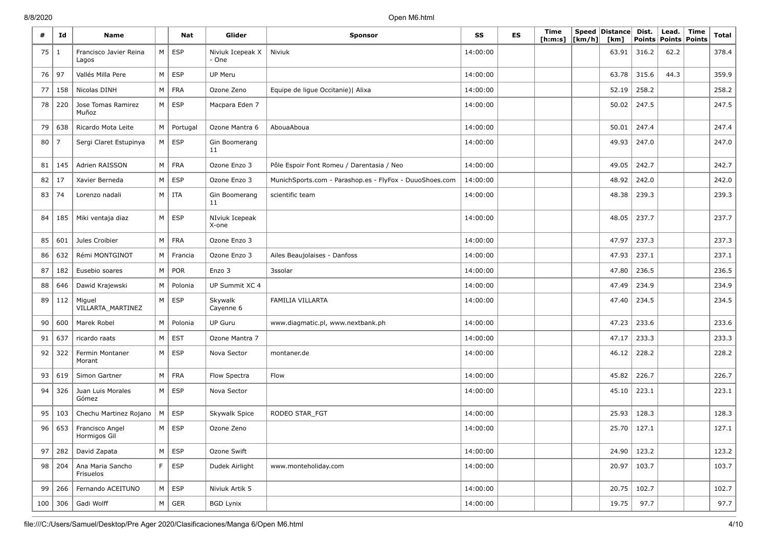| #  | Id        | <b>Name</b>                     |                | Nat           | Glider                    | <b>Sponsor</b>                                          | SS       | <b>ES</b> | Time<br>[ <b>h</b> : <b>m</b> : <b>s</b> ] | [km/h] | Speed Distance<br>[km] | Dist.<br><b>Points</b> | Lead.<br><b>Points Points</b> | <b>Time</b> | <b>Total</b> |
|----|-----------|---------------------------------|----------------|---------------|---------------------------|---------------------------------------------------------|----------|-----------|--------------------------------------------|--------|------------------------|------------------------|-------------------------------|-------------|--------------|
| 75 | -1        | Francisco Javier Reina<br>Lagos | M <sub>1</sub> | ESP           | Niviuk Icepeak X<br>- One | Niviuk                                                  | 14:00:00 |           |                                            |        | 63.91                  | 316.2                  | 62.2                          |             | 378.4        |
| 76 | 97        | Vallés Milla Pere               | M <sub>1</sub> | ESP           | UP Meru                   |                                                         | 14:00:00 |           |                                            |        | 63.78                  | 315.6                  | 44.3                          |             | 359.9        |
| 77 | 158       | Nicolas DINH                    |                | $M$   FRA     | Ozone Zeno                | Equipe de lique Occitanie)   Alixa                      | 14:00:00 |           |                                            |        | 52.19                  | 258.2                  |                               |             | 258.2        |
| 78 | 220       | Jose Tomas Ramirez<br>Muñoz     |                | $M \vert$ ESP | Macpara Eden 7            |                                                         | 14:00:00 |           |                                            |        | 50.02                  | 247.5                  |                               |             | 247.5        |
| 79 | 638       | Ricardo Mota Leite              |                | $M$ Portugal  | Ozone Mantra 6            | AbouaAboua                                              | 14:00:00 |           |                                            |        | 50.01                  | 247.4                  |                               |             | 247.4        |
| 80 | -7        | Sergi Claret Estupinya          |                | $M \vert$ ESP | Gin Boomerang<br>11       |                                                         | 14:00:00 |           |                                            |        | 49.93                  | 247.0                  |                               |             | 247.0        |
| 81 | 145       | Adrien RAISSON                  | M              | FRA           | Ozone Enzo 3              | Pôle Espoir Font Romeu / Darentasia / Neo               | 14:00:00 |           |                                            |        | 49.05                  | 242.7                  |                               |             | 242.7        |
| 82 | 17        | Xavier Berneda                  | M              | ESP           | Ozone Enzo 3              | MunichSports.com - Parashop.es - FlyFox - DuuoShoes.com | 14:00:00 |           |                                            |        | 48.92                  | 242.0                  |                               |             | 242.0        |
| 83 | 74        | Lorenzo nadali                  |                | $M$   ITA     | Gin Boomerang<br>11       | scientific team                                         | 14:00:00 |           |                                            |        | 48.38                  | 239.3                  |                               |             | 239.3        |
| 84 | 185       | Miki ventaja diaz               |                | $M \vert$ ESP | NIviuk Icepeak<br>X-one   |                                                         | 14:00:00 |           |                                            |        | 48.05                  | 237.7                  |                               |             | 237.7        |
| 85 | 601       | Jules Croibier                  | M              | FRA           | Ozone Enzo 3              |                                                         | 14:00:00 |           |                                            |        | 47.97                  | 237.3                  |                               |             | 237.3        |
| 86 | 632       | Rémi MONTGINOT                  | M              | Francia       | Ozone Enzo 3              | Ailes Beaujolaises - Danfoss                            | 14:00:00 |           |                                            |        | 47.93                  | 237.1                  |                               |             | 237.1        |
| 87 | 182       | Eusebio soares                  | M              | POR           | Enzo 3                    | 3ssolar                                                 | 14:00:00 |           |                                            |        | 47.80                  | 236.5                  |                               |             | 236.5        |
| 88 | 646       | Dawid Krajewski                 | M              | Polonia       | UP Summit XC 4            |                                                         | 14:00:00 |           |                                            |        | 47.49                  | 234.9                  |                               |             | 234.9        |
| 89 | 112       | Miguel<br>VILLARTA_MARTINEZ     | M <sub>1</sub> | ESP           | Skywalk<br>Cayenne 6      | FAMILIA VILLARTA                                        | 14:00:00 |           |                                            |        | 47.40                  | 234.5                  |                               |             | 234.5        |
| 90 | 600       | Marek Robel                     | M              | Polonia       | <b>UP Guru</b>            | www.diagmatic.pl, www.nextbank.ph                       | 14:00:00 |           |                                            |        | 47.23                  | 233.6                  |                               |             | 233.6        |
| 91 | 637       | ricardo raats                   | M              | <b>EST</b>    | Ozone Mantra 7            |                                                         | 14:00:00 |           |                                            |        | 47.17                  | 233.3                  |                               |             | 233.3        |
| 92 | 322       | Fermin Montaner<br>Morant       |                | $M \vert$ ESP | Nova Sector               | montaner.de                                             | 14:00:00 |           |                                            |        | 46.12                  | 228.2                  |                               |             | 228.2        |
| 93 | 619       | Simon Gartner                   | M              | FRA           | Flow Spectra              | Flow                                                    | 14:00:00 |           |                                            |        | 45.82                  | 226.7                  |                               |             | 226.7        |
| 94 | 326       | Juan Luis Morales<br>Gómez      |                | $M \vert$ ESP | Nova Sector               |                                                         | 14:00:00 |           |                                            |        | 45.10                  | 223.1                  |                               |             | 223.1        |
| 95 | 103       | Chechu Martinez Rojano          | M              | <b>ESP</b>    | Skywalk Spice             | RODEO STAR FGT                                          | 14:00:00 |           |                                            |        | 25.93                  | 128.3                  |                               |             | 128.3        |
| 96 | 653       | Francisco Angel<br>Hormigos Gil | M              | ESP           | Ozone Zeno                |                                                         | 14:00:00 |           |                                            |        | 25.70                  | 127.1                  |                               |             | 127.1        |
| 97 | 282       | David Zapata                    |                | $M \vert$ ESP | Ozone Swift               |                                                         | 14:00:00 |           |                                            |        | 24.90                  | 123.2                  |                               |             | 123.2        |
| 98 | 204       | Ana Maria Sancho<br>Frisuelos   | F              | ESP           | Dudek Airlight            | www.monteholiday.com                                    | 14:00:00 |           |                                            |        | 20.97                  | 103.7                  |                               |             | 103.7        |
| 99 | 266       | Fernando ACEITUNO               |                | $M \vert ESP$ | Niviuk Artik 5            |                                                         | 14:00:00 |           |                                            |        | 20.75                  | 102.7                  |                               |             | 102.7        |
|    | 100   306 | Gadi Wolff                      |                | $M \vert$ GER | <b>BGD Lynix</b>          |                                                         | 14:00:00 |           |                                            |        | 19.75                  | 97.7                   |                               |             | 97.7         |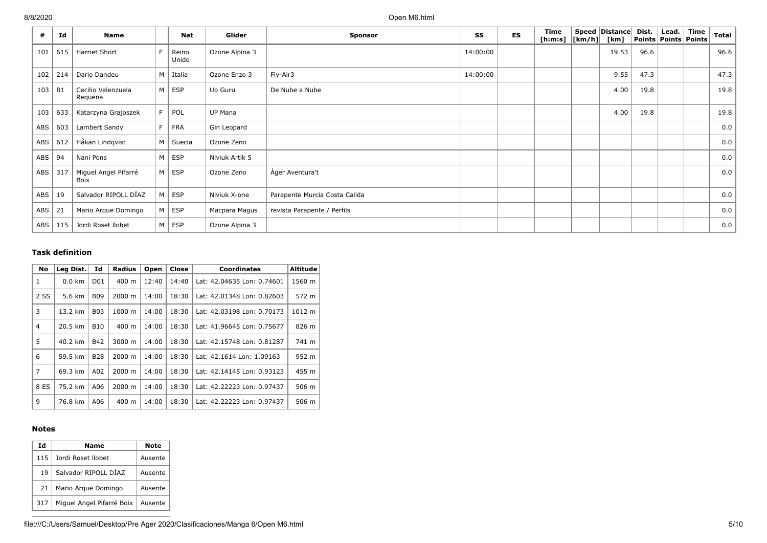| #   | Id  | Name                          |    | <b>Nat</b>     | Glider         | <b>Sponsor</b>                | SS       | <b>ES</b> | Time<br>[h:m:s] | $\lfloor \lfloor km/h \rfloor \rfloor$ | Speed Distance<br>[km] | Dist. | Lead. | Time<br>Points   Points   Points | Total |
|-----|-----|-------------------------------|----|----------------|----------------|-------------------------------|----------|-----------|-----------------|----------------------------------------|------------------------|-------|-------|----------------------------------|-------|
| 101 | 615 | Harriet Short                 | F  | Reino<br>Unido | Ozone Alpina 3 |                               | 14:00:00 |           |                 |                                        | 19.53                  | 96.6  |       |                                  | 96.6  |
| 102 | 214 | Dario Dandeu                  |    | M   Italia     | Ozone Enzo 3   | Fly-Air3                      | 14:00:00 |           |                 |                                        | 9.55                   | 47.3  |       |                                  | 47.3  |
| 103 | 81  | Cecilio Valenzuela<br>Requena |    | $M \vert$ ESP  | Up Guru        | De Nube a Nube                |          |           |                 |                                        | 4.00                   | 19.8  |       |                                  | 19.8  |
| 103 | 633 | Katarzyna Grajoszek           | F  | POL            | UP Mana        |                               |          |           |                 |                                        | 4.00                   | 19.8  |       |                                  | 19.8  |
| ABS | 603 | Lambert Sandy                 | F. | FRA            | Gin Leopard    |                               |          |           |                 |                                        |                        |       |       |                                  | 0.0   |
| ABS | 612 | Håkan Lindqvist               |    | M   Suecia     | Ozone Zeno     |                               |          |           |                 |                                        |                        |       |       |                                  | 0.0   |
| ABS | 94  | Nani Pons                     |    | $M \vert$ ESP  | Niviuk Artik 5 |                               |          |           |                 |                                        |                        |       |       |                                  | 0.0   |
| ABS | 317 | Miguel Angel Pifarré<br>Boix  |    | $M \vert$ ESP  | Ozone Zeno     | Ager Aventura't               |          |           |                 |                                        |                        |       |       |                                  | 0.0   |
| ABS | 19  | Salvador RIPOLL DÍAZ          |    | $M \vert$ ESP  | Niviuk X-one   | Parapente Murcia Costa Calida |          |           |                 |                                        |                        |       |       |                                  | 0.0   |
| ABS | 21  | Mario Arque Domingo           |    | $M \vert ESP$  | Macpara Magus  | revista Parapente / Perfils   |          |           |                 |                                        |                        |       |       |                                  | 0.0   |
| ABS | 115 | Jordi Roset Ilobet            |    | $M \vert$ ESP  | Ozone Alpina 3 |                               |          |           |                 |                                        |                        |       |       |                                  | 0.0   |

# **Task definition**

| <b>No</b>      | Leg Dist. | Id              | <b>Radius</b>      | Open  | Close | <b>Coordinates</b>         | <b>Altitude</b> |
|----------------|-----------|-----------------|--------------------|-------|-------|----------------------------|-----------------|
| 1              | $0.0$ km  | D <sub>01</sub> | $400 \text{ m}$    | 12:40 | 14:40 | Lat: 42.04635 Lon: 0.74601 | 1560 m          |
| 2 SS           | 5.6 km    | <b>B09</b>      | 2000 m             | 14:00 | 18:30 | Lat: 42.01348 Lon: 0.82603 | 572 m           |
| 3              | 13.2 km   | <b>B03</b>      | 1000 m             | 14:00 | 18:30 | Lat: 42.03198 Lon: 0.70173 | 1012 m          |
| $\overline{4}$ | 20.5 km   | <b>B10</b>      | $400 \text{ m}$    | 14:00 | 18:30 | Lat: 41.96645 Lon: 0.75677 | 826 m           |
| 5              | 40.2 km   | <b>B42</b>      | $3000 \; \text{m}$ | 14:00 | 18:30 | Lat: 42.15748 Lon: 0.81287 | 741 m           |
| 6              | 59.5 km   | <b>B28</b>      | 2000 m             | 14:00 | 18:30 | Lat: 42.1614 Lon: 1.09163  | 952 m           |
| $\overline{7}$ | 69.3 km   | A02             | 2000 m             | 14:00 | 18:30 | Lat: 42.14145 Lon: 0.93123 | 455 m           |
| 8 ES           | 75.2 km   | A06             | 2000 m             | 14:00 | 18:30 | Lat: 42.22223 Lon: 0.97437 | 506 m           |
| 9              | 76.8 km   | A06             | 400 m              | 14:00 | 18:30 | Lat: 42.22223 Lon: 0.97437 | 506 m           |

### **Notes**

| Id  | Name                      | Note    |
|-----|---------------------------|---------|
| 115 | Jordi Roset Ilobet        | Ausente |
| 19  | Salvador RIPOLL DÍAZ      | Ausente |
| 21  | Mario Argue Domingo       | Ausente |
| 317 | Miguel Angel Pifarré Boix | Ausente |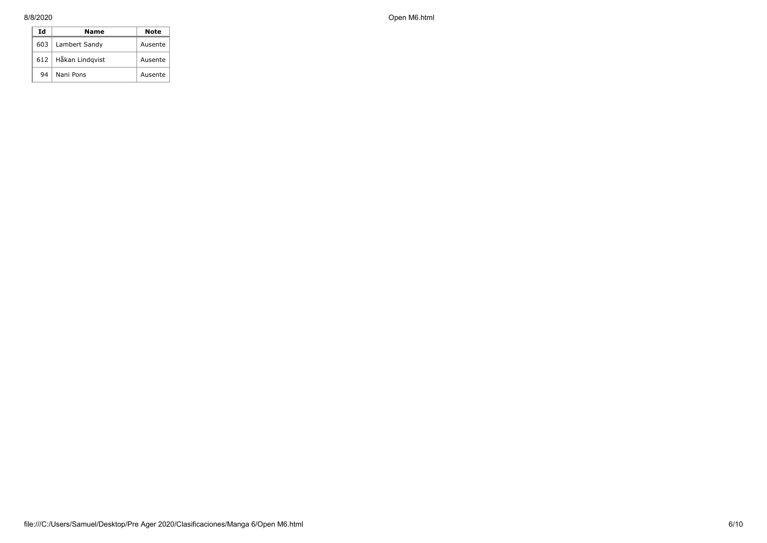| Ιd | Name                  | Note    |
|----|-----------------------|---------|
|    | 603   Lambert Sandy   | Ausente |
|    | 612   Håkan Lindqvist | Ausente |
| 94 | Nani Pons             | Ausente |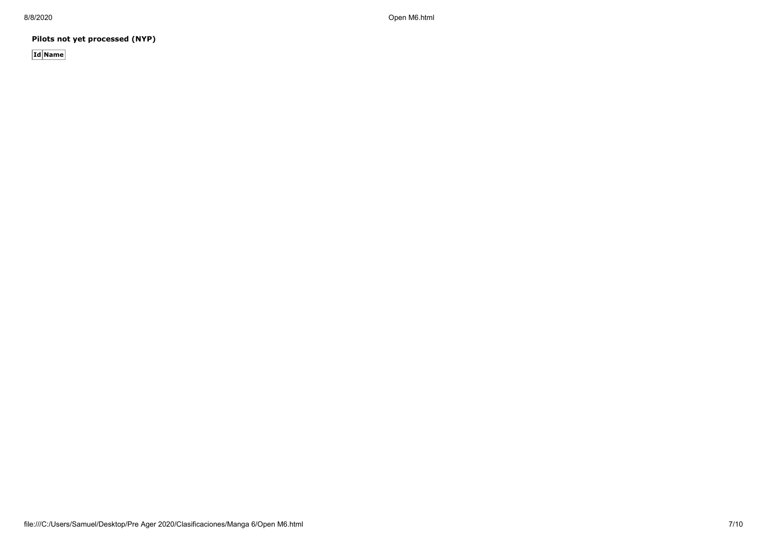**Pilots not yet processed (NYP)**

**Id Name**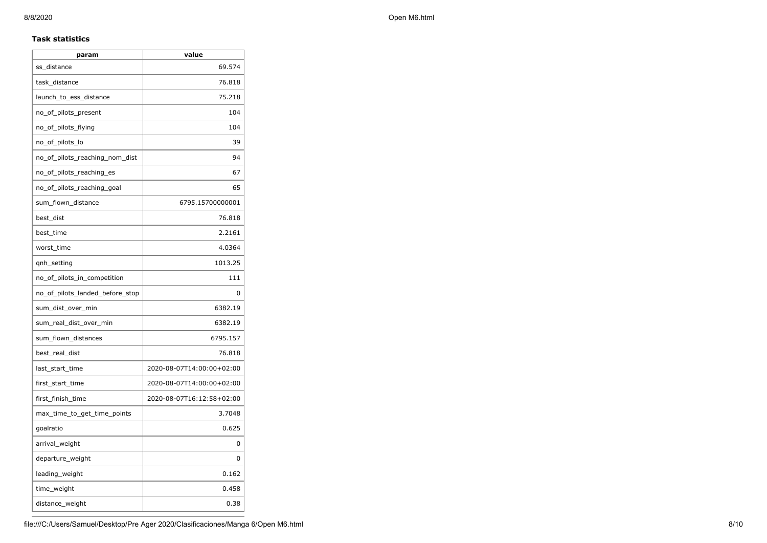## **Task statistics**

| param                           | value                     |
|---------------------------------|---------------------------|
| ss_distance                     | 69.574                    |
| task_distance                   | 76.818                    |
| launch_to_ess_distance          | 75.218                    |
| no_of_pilots_present            | 104                       |
| no_of_pilots_flying             | 104                       |
| no_of_pilots_lo                 | 39                        |
| no_of_pilots_reaching_nom_dist  | 94                        |
| no_of_pilots_reaching_es        | 67                        |
| no of pilots reaching goal      | 65                        |
| sum_flown_distance              | 6795.15700000001          |
| best_dist                       | 76.818                    |
| best_time                       | 2.2161                    |
| worst_time                      | 4.0364                    |
| qnh_setting                     | 1013.25                   |
| no_of_pilots_in_competition     | 111                       |
| no_of_pilots_landed_before_stop | 0                         |
| sum_dist_over_min               | 6382.19                   |
| sum_real_dist_over_min          | 6382.19                   |
| sum_flown_distances             | 6795.157                  |
| best_real_dist                  | 76.818                    |
| last_start_time                 | 2020-08-07T14:00:00+02:00 |
| first_start_time                | 2020-08-07T14:00:00+02:00 |
| first_finish_time               | 2020-08-07T16:12:58+02:00 |
| max_time_to_get_time_points     | 3.7048                    |
| goalratio                       | 0.625                     |
| arrival_weight                  | 0                         |
| departure_weight                | 0                         |
| leading_weight                  | 0.162                     |
| time_weight                     | 0.458                     |
| distance_weight                 | 0.38                      |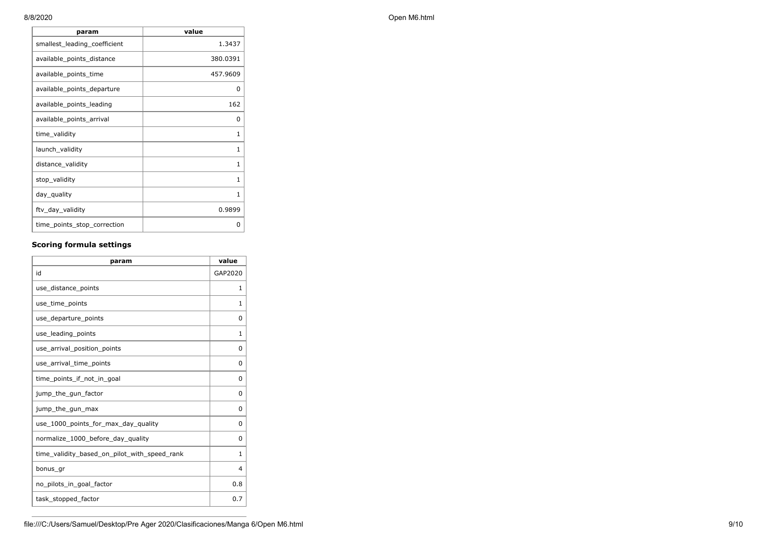| param                        | value        |
|------------------------------|--------------|
| smallest_leading_coefficient | 1.3437       |
| available_points_distance    | 380.0391     |
| available_points_time        | 457.9609     |
| available_points_departure   | 0            |
| available points leading     | 162          |
| available_points_arrival     | 0            |
| time_validity                | 1            |
| launch_validity              | 1            |
| distance_validity            | 1            |
| stop_validity                | $\mathbf{1}$ |
| day_quality                  | 1            |
| ftv_day_validity             | 0.9899       |
| time_points_stop_correction  | 0            |

## **Scoring formula settings**

| param                                        | value    |
|----------------------------------------------|----------|
| id                                           | GAP2020  |
| use_distance_points                          | 1        |
| use_time_points                              | 1        |
| use_departure_points                         | $\Omega$ |
| use_leading_points                           | 1        |
| use_arrival_position_points                  | 0        |
| use_arrival_time_points                      | 0        |
| time points if not in goal                   | $\Omega$ |
| jump_the_gun_factor                          | $\Omega$ |
| jump_the_gun_max                             | 0        |
| use 1000 points for max day quality          | $\Omega$ |
| normalize_1000_before_day_quality            | 0        |
| time_validity_based_on_pilot_with_speed_rank | 1        |
| bonus_gr                                     | 4        |
| no_pilots_in_goal_factor                     | 0.8      |
| task_stopped_factor                          | 0.7      |